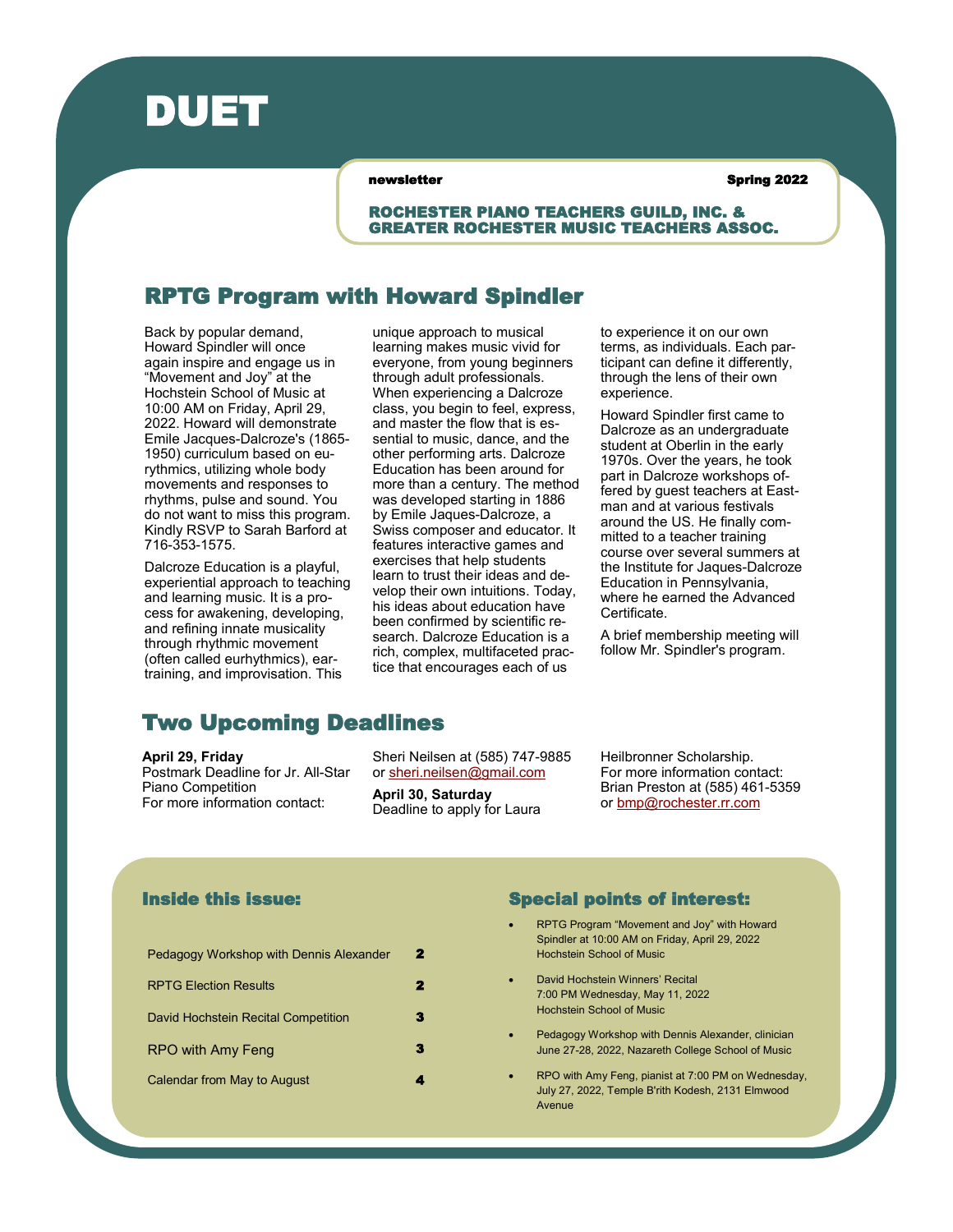

newsletter and spring 2022

ROCHESTER PIANO TEACHERS GUILD, INC. & GREATER ROCHESTER MUSIC TEACHERS ASSOC.

### RPTG Program with Howard Spindler

Back by popular demand, Howard Spindler will once again inspire and engage us in "Movement and Joy" at the Hochstein School of Music at 10:00 AM on Friday, April 29, 2022. Howard will demonstrate Emile Jacques-Dalcroze's (1865- 1950) curriculum based on eurythmics, utilizing whole body movements and responses to rhythms, pulse and sound. You do not want to miss this program. Kindly RSVP to Sarah Barford at 716-353-1575.

Dalcroze Education is a playful, experiential approach to teaching and learning music. It is a process for awakening, developing, and refining innate musicality through rhythmic movement (often called eurhythmics), eartraining, and improvisation. This

unique approach to musical learning makes music vivid for everyone, from young beginners through adult professionals. When experiencing a Dalcroze class, you begin to feel, express, and master the flow that is essential to music, dance, and the other performing arts. Dalcroze Education has been around for more than a century. The method was developed starting in 1886 by Emile Jaques-Dalcroze, a Swiss composer and educator. It features interactive games and exercises that help students learn to trust their ideas and develop their own intuitions. Today, his ideas about education have been confirmed by scientific research. Dalcroze Education is a rich, complex, multifaceted practice that encourages each of us

to experience it on our own terms, as individuals. Each participant can define it differently, through the lens of their own experience.

Howard Spindler first came to Dalcroze as an undergraduate student at Oberlin in the early 1970s. Over the years, he took part in Dalcroze workshops offered by guest teachers at Eastman and at various festivals around the US. He finally committed to a teacher training course over several summers at the Institute for Jaques-Dalcroze Education in Pennsylvania, where he earned the Advanced Certificate.

A brief membership meeting will follow Mr. Spindler's program.

### Two Upcoming Deadlines

**April 29, Friday**

Postmark Deadline for Jr. All-Star Piano Competition For more information contact:

Sheri Neilsen at (585) 747-9885 or [sheri.neilsen@gmail.com](mailto:sheri.neilsen@gmail.com)

**April 30, Saturday** Deadline to apply for Laura Heilbronner Scholarship. For more information contact: Brian Preston at (585) 461-5359 or [bmp@rochester.rr.com](mailto:bmp@rochester.rr.com)

### Inside this issue:

| 2 |
|---|
| 2 |
|   |
|   |
|   |
|   |

### Special points of interest:

- RPTG Program "Movement and Joy" with Howard Spindler at 10:00 AM on Friday, April 29, 2022 Hochstein School of Music
- David Hochstein Winners' Recital 7:00 PM Wednesday, May 11, 2022 Hochstein School of Music
- Pedagogy Workshop with Dennis Alexander, clinician June 27-28, 2022, Nazareth College School of Music
- RPO with Amy Feng, pianist at 7:00 PM on Wednesday, July 27, 2022, Temple B'rith Kodesh, 2131 Elmwood Avenue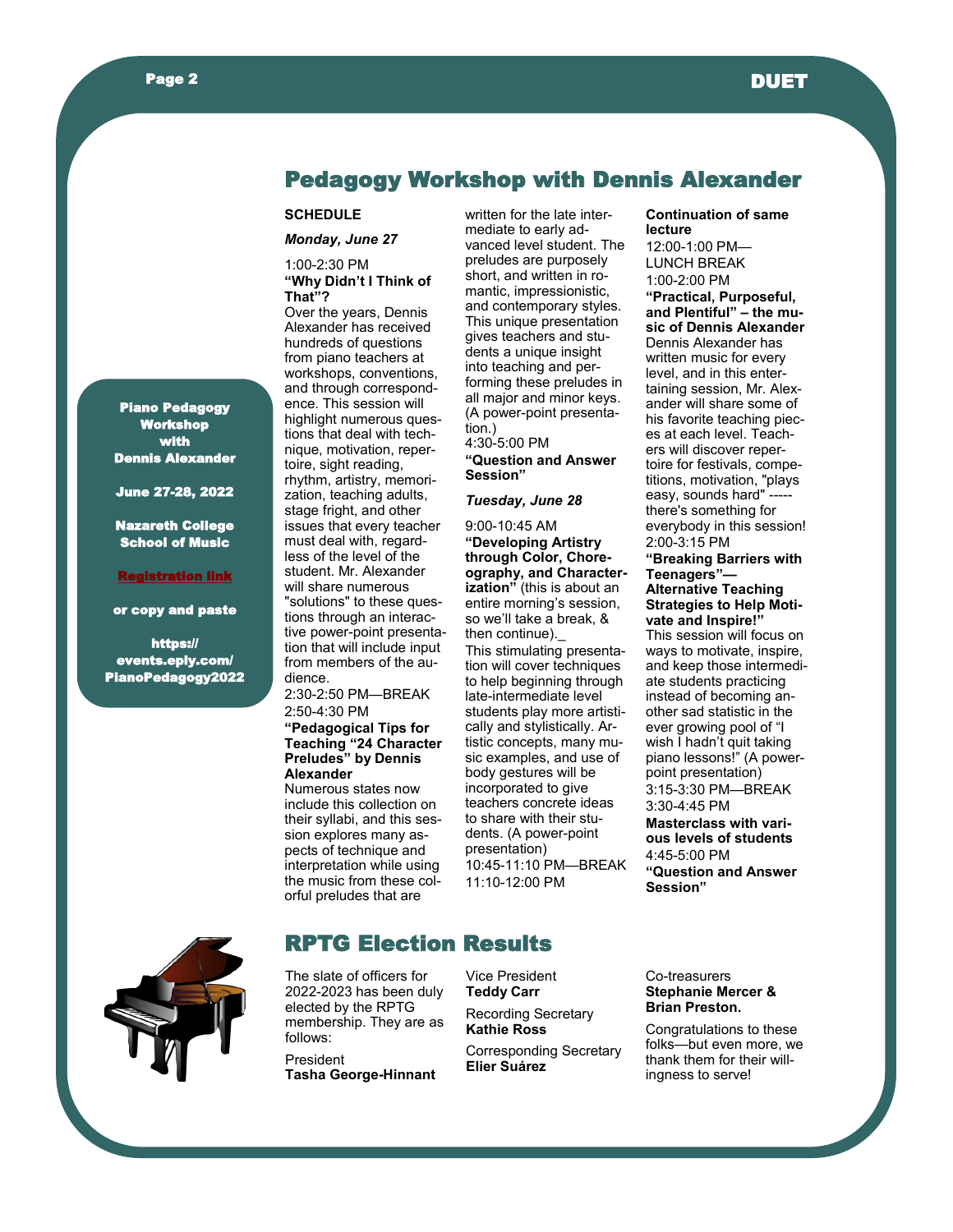

## Pedagogy Workshop with Dennis Alexander

#### **SCHEDULE**

*Monday, June 27*

#### 1:00-2:30 PM **"Why Didn't I Think of That"?**

Over the years, Dennis Alexander has received hundreds of questions from piano teachers at workshops, conventions, and through correspondence. This session will highlight numerous questions that deal with technique, motivation, repertoire, sight reading, rhythm, artistry, memorization, teaching adults, stage fright, and other issues that every teacher must deal with, regardless of the level of the student. Mr. Alexander will share numerous "solutions" to these questions through an interactive power-point presentation that will include input from members of the audience.

2:30-2:50 PM—BREAK 2:50-4:30 PM

#### **"Pedagogical Tips for Teaching "24 Character Preludes" by Dennis Alexander**

Numerous states now include this collection on their syllabi, and this session explores many aspects of technique and interpretation while using the music from these colorful preludes that are

written for the late intermediate to early advanced level student. The preludes are purposely short, and written in romantic, impressionistic, and contemporary styles. This unique presentation gives teachers and students a unique insight into teaching and performing these preludes in all major and minor keys. (A power-point presentation.) 4:30-5:00 PM

**"Question and Answer Session"**

#### *Tuesday, June 28*

9:00-10:45 AM **"Developing Artistry through Color, Choreography, and Characterization"** (this is about an entire morning's session, so we'll take a break, & then continue).\_ This stimulating presentation will cover techniques to help beginning through late-intermediate level students play more artistically and stylistically. Artistic concepts, many music examples, and use of body gestures will be incorporated to give teachers concrete ideas to share with their students. (A power-point presentation) 10:45-11:10 PM—BREAK 11:10-12:00 PM

#### **Continuation of same lecture**

12:00-1:00 PM— LUNCH BREAK 1:00-2:00 PM **"Practical, Purposeful, and Plentiful" – the music of Dennis Alexander** Dennis Alexander has written music for every level, and in this entertaining session, Mr. Alexander will share some of his favorite teaching pieces at each level. Teachers will discover repertoire for festivals, competitions, motivation, "plays easy, sounds hard" --there's something for everybody in this session! 2:00-3:15 PM

**"Breaking Barriers with Teenagers"— Alternative Teaching Strategies to Help Motivate and Inspire!"** This session will focus on ways to motivate, inspire, and keep those intermediate students practicing instead of becoming another sad statistic in the ever growing pool of "I wish I hadn't quit taking piano lessons!" (A powerpoint presentation) 3:15-3:30 PM—BREAK 3:30-4:45 PM **Masterclass with various levels of students** 4:45-5:00 PM **"Question and Answer Session"**



# RPTG Election Results

The slate of officers for 2022-2023 has been duly elected by the RPTG membership. They are as follows: President

**Tasha George-Hinnant**

Vice President **Teddy Carr**

Recording Secretary **Kathie Ross**

Corresponding Secretary **Elier Suárez**

#### Co-treasurers **Stephanie Mercer & Brian Preston.**

Congratulations to these folks—but even more, we thank them for their willingness to serve!

Piano Pedagogy Workshop **with** Dennis Alexander

June 27-28, 2022

Nazareth College School of Music

#### <u>istration lin</u>k

[or copy and paste](https://events.eply.com/PianoPedagogy2022)

[https://](https://events.eply.com/PianoPedagogy2022) [events.eply.com/](https://events.eply.com/PianoPedagogy2022) [PianoPedagogy2022](https://events.eply.com/PianoPedagogy2022)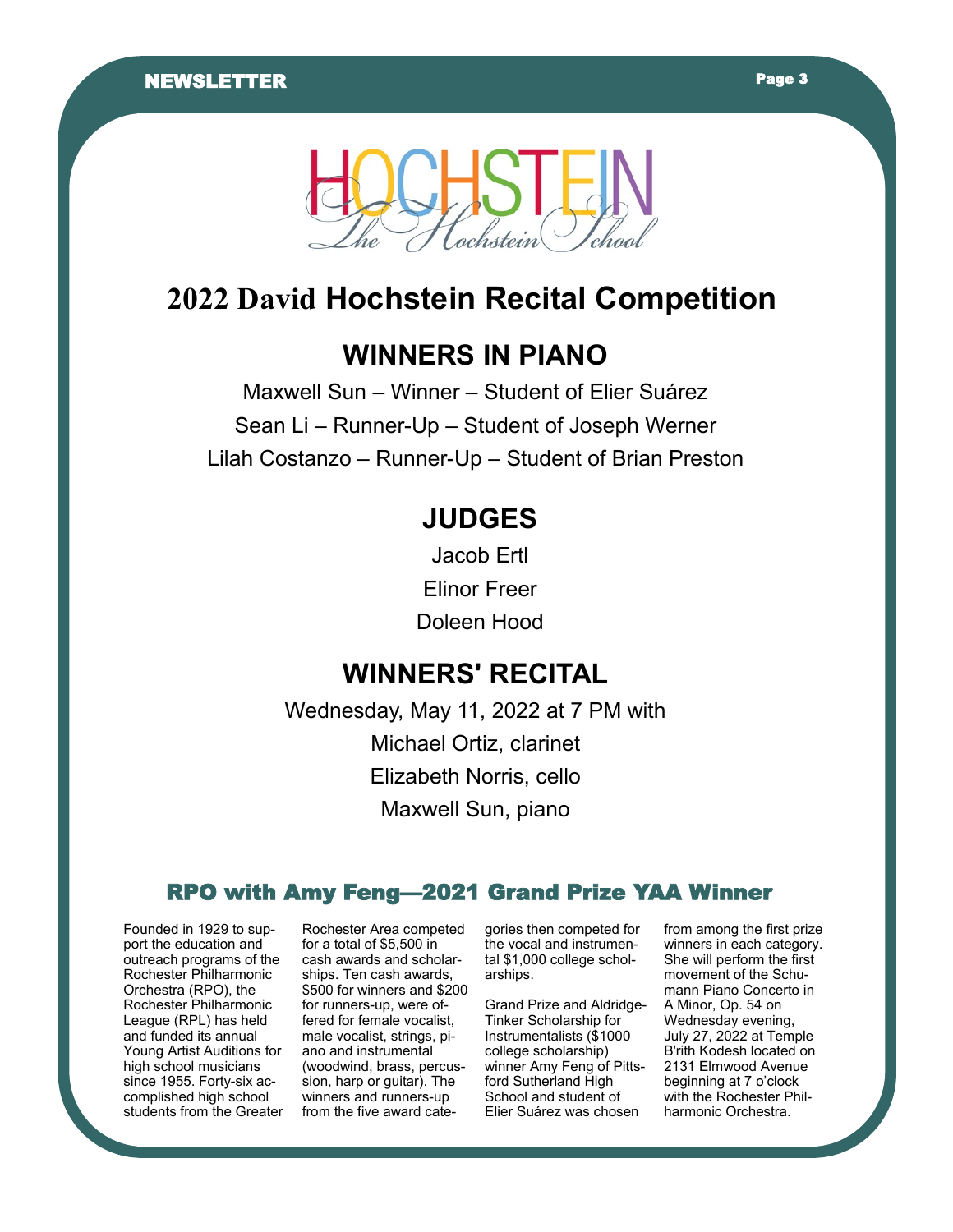

# **2022 David Hochstein Recital Competition**

# **WINNERS IN PIANO**

Maxwell Sun – Winner – Student of Elier Suárez Sean Li – Runner-Up – Student of Joseph Werner Lilah Costanzo – Runner-Up – Student of Brian Preston

# **JUDGES**

Jacob Ertl Elinor Freer Doleen Hood

# **WINNERS' RECITAL**

Wednesday, May 11, 2022 at 7 PM with Michael Ortiz, clarinet Elizabeth Norris, cello Maxwell Sun, piano

# RPO with Amy Feng—2021 Grand Prize YAA Winner

Founded in 1929 to support the education and outreach programs of the Rochester Philharmonic Orchestra (RPO), the Rochester Philharmonic League (RPL) has held and funded its annual Young Artist Auditions for high school musicians since 1955. Forty-six accomplished high school students from the Greater Rochester Area competed for a total of \$5,500 in cash awards and scholarships. Ten cash awards, \$500 for winners and \$200 for runners-up, were offered for female vocalist, male vocalist, strings, piano and instrumental (woodwind, brass, percussion, harp or guitar). The winners and runners-up from the five award cate-

gories then competed for the vocal and instrumental \$1,000 college scholarships.

Grand Prize and Aldridge-Tinker Scholarship for Instrumentalists (\$1000 college scholarship) winner Amy Feng of Pittsford Sutherland High School and student of Elier Suárez was chosen

from among the first prize winners in each category. She will perform the first movement of the Schumann Piano Concerto in A Minor, Op. 54 on Wednesday evening, July 27, 2022 at Temple B'rith Kodesh located on 2131 Elmwood Avenue beginning at 7 o'clock with the Rochester Philharmonic Orchestra.